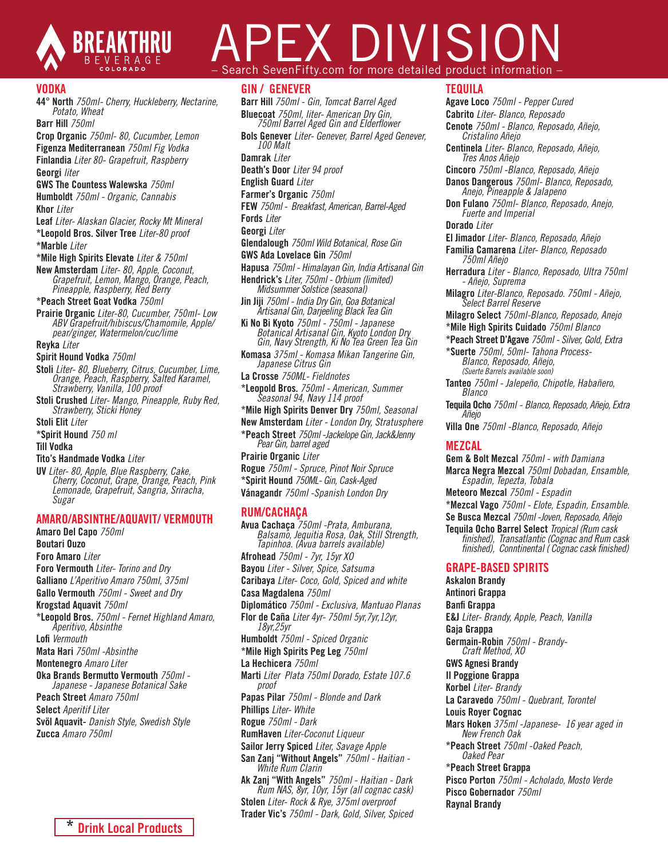

# PEX DIVISIO Search SevenFifty.com for more detailed product information

### VODKA

44° North *750ml- Cherry, Huckleberry, Nectarine, Potato, Wheat*

Barr Hill *750ml*

Crop Organic *750ml- 80, Cucumber, Lemon* Figenza Mediterranean *750ml Fig Vodka* Finlandia *Liter 80- Grapefruit, Raspberry* Georgi *liter* 

### GWS The Countess Walewska *750ml*

Humboldt *750ml - Organic, Cannabis* Khor *Liter*

Leaf *Liter- Alaskan Glacier, Rocky Mt Mineral* \*Leopold Bros. Silver Tree *Liter-80 proof*

\*Marble *Liter*

\*Mile High Spirits Elevate *Liter & 750ml*

New Amsterdam *Liter- 80, Apple, Coconut, Grapefruit, Lemon, Mango, Orange, Peach, Pineapple, Raspberry, Red Berry*

\*Peach Street Goat Vodka *750ml*

Prairie Organic *Liter-80, Cucumber, 750ml- Low ABV Grapefruit/hibiscus/Chamomile, Apple/ pear/ginger, Watermelon/cuc/lime*

Reyka *Liter*

### Spirit Hound Vodka *750ml*

- Stoli *Liter- 80, Blueberry, Citrus, Cucumber, Lime, Orange, Peach, Raspberry, Salted Karamel, Strawberry, Vanilla, 100 proof*
- Stoli Crushed *Liter- Mango, Pineapple, Ruby Red, Strawberry, Sticki Honey*

Stoli Elit *Liter*

\*Spirit Hound *750 ml*

### Till Vodka

Tito's Handmade Vodka *Liter*

UV *Liter- 80, Apple, Blue Raspberry, Cake, Cherry, Coconut, Grape, Orange, Peach, Pink Lemonade, Grapefruit, Sangria, Sriracha, Sugar* 

### AMARO/ABSINTHE/AQUAVIT/ VERMOUTH

Amaro Del Capo *750ml*  Boutari Ouzo Foro Amaro *Liter* Foro Vermouth *Liter- Torino and Dry*  Galliano *L'Aperitivo Amaro 750ml, 375ml* Gallo Vermouth *750ml - Sweet and Dry*  Krogstad Aquavit *750ml* \*Leopold Bros. *750ml - Fernet Highland Amaro, Aperitivo, Absinthe* Lofi *Vermouth* Mata Hari *750ml -Absinthe* Montenegro *Amaro Liter* Oka Brands Bermutto Vermouth *750ml - Japanese - Japanese Botanical Sake* Peach Street *Amaro 750ml* Select *Aperitif Liter* Svöl Aquavit- *Danish Style, Swedish Style* Zucca *Amaro 750ml*



### GIN / GENEVER

Barr Hill *750ml - Gin, Tomcat Barrel Aged* 750ml Barrel Aged Gin and Elderflower Bols Genever *Liter- Genever, Barrel Aged Genever, 100 Malt* Damrak *Liter* Death's Door *Liter 94 proof*  English Guard *Liter*

Farmer's Organic *750ml* 

FEW *750ml - Breakfast, American, Barrel-Aged*

Fords *Liter*

Georgi *Liter* 

Glendalough *750ml Wild Botanical, Rose Gin*

- GWS Ada Lovelace Gin *750ml*
- Hapusa *750ml Himalayan Gin, India Artisanal Gin*
- Hendrick's *Liter, 750ml Orbium (limited) Midsummer Solstice (seasonal)*
- Jin Jiji *750ml India Dry Gin, Goa Botanical*
- *Artisanal Gin, Darjeeling Black Tea Gin*  Ki No Bi Kyoto *750ml - 750ml - Japanese Botanical Artisanal Gin, Kyoto London Dry Gin, Navy Strength, Ki No Tea Green Tea Gin*
- Komasa *375ml Komasa Mikan Tangerine Gin, Japanese Citrus Gin*
- La Crosse *750ML- Fieldnotes*
- \*Leopold Bros. *750ml American, Summer Seasonal 94, Navy 114 proof*
- \*Mile High Spirits Denver Dry *750ml, Seasonal*
- New Amsterdam *Liter London Dry, Stratusphere*
- \*Peach Street *750ml -Jackelope Gin, Jack&Jenny Pear Gin, barrel aged*
- Prairie Organic *Liter*
- Rogue *750ml Spruce, Pinot Noir Spruce*
- \*Spirit Hound *750ML- Gin, Cask-Aged*
- Vánagandr *750ml -Spanish London Dry*

### RUM/CACHAÇA

Avua Cachaça *750ml -Prata, Amburana, Balsamo, Jequitia Rosa, Oak, Still Strength, Tapinhoa. (Avua barrels available)* Afrohead *750ml - 7yr, 15yr XO* Bayou *Liter - Silver, Spice, Satsuma* Caribaya *Liter- Coco, Gold, Spiced and white* Casa Magdalena *750ml* Diplomático *750ml - Exclusiva, Mantuao Planas* Flor de Caña *Liter 4yr- 750ml 5yr,7yr,12yr, 18yr,25yr* Humboldt *750ml - Spiced Organic* \*Mile High Spirits Peg Leg *750ml*  La Hechicera *750ml* Marti *Liter Plata 750ml Dorado, Estate 107.6 proof* Papas Pilar *750ml - Blonde and Dark* Phillips *Liter- White*  Rogue *750ml - Dark* RumHaven *Liter-Coconut Liqueur* Sailor Jerry Spiced *Liter, Savage Apple* San Zanj "Without Angels" *750ml - Haitian - White Rum Clarin* Ak Zanj "With Angels" *750ml - Haitian - Dark Rum NAS, 8yr, 10yr, 15yr (all cognac cask)* Stolen *Liter- Rock & Rye, 375ml overproof* Trader Vic's *750ml - Dark, Gold, Silver, Spiced*

### TEQUILA

Agave Loco *750ml - Pepper Cured* Cabrito *Liter- Blanco, Reposado*

Cenote *750ml - Blanco, Reposado, Añejo, Cristalino Añejo* Centinela *Liter- Blanco, Reposado, Añejo, Tres Anos Añejo* Cincoro *750ml -Blanco, Reposado, Añejo* Danos Dangerous *750ml- Blanco, Reposado, Anejo, Pineapple & Jalapeno*  Don Fulano *750ml- Blanco, Reposado, Anejo, Fuerte and Imperial* Dorado *Liter* El Jimador *Liter- Blanco, Reposado, Añejo* Familia Camarena *Liter- Blanco, Reposado 750ml Añejo* Herradura *Liter - Blanco, Reposado, Ultra 750ml - Añejo, Suprema* Milagro *Liter-Blanco, Reposado. 750ml - Añejo, Select Barrel Reserve* Milagro Select *750ml-Blanco, Reposado, Anejo* \*Mile High Spirits Cuidado *750ml Blanco* \*Peach Street D'Agave *750ml - Silver, Gold, Extra* \*Suerte *750ml, 50ml- Tahona Process-Blanco, Reposado, Añejo, (Suerte Barrels available soon)* Tanteo *750ml - Jalepeño, Chipotle, Habañero, Blanco* Tequila Ocho *750ml - Blanco, Reposado, Añejo, Extra Añejo* Villa One *750ml -Blanco, Reposado, Añejo* MEZCAL Gem & Bolt Mezcal *750ml - with Damiana* Marca Negra Mezcal *750ml Dobadan, Ensamble, Espadin, Tepezta, Tobala* Meteoro Mezcal *750ml - Espadin* \*Mezcal Vago *750ml - Elote, Espadin, Ensamble.*  Se Busca Mezcal *750ml -Joven, Reposado, Añejo* Tequila Ocho Barrel Select *Tropical (Rum cask finished), Transatlantic (Cognac and Rum cask finished), Conntinental ( Cognac cask finished)*  GRAPE-BASED SPIRITS Askalon Brandy Antinori Grappa Banfi Grappa E&J *Liter- Brandy, Apple, Peach, Vanilla* Gaja Grappa Germain-Robin *750ml - Brandy- Craft Method, XO* GWS Agnesi Brandy Il Poggione Grappa Korbel *Liter- Brandy* La Caravedo *750ml - Quebrant, Torontel* Louis Royer Cognac Mars Hoken *375ml -Japanese- 16 year aged in New French Oak* \*Peach Street *750ml -Oaked Peach, Oaked Pear* \*Peach Street Grappa Pisco Porton *750ml - Acholado, Mosto Verde* Pisco Gobernador *750ml* Raynal Brandy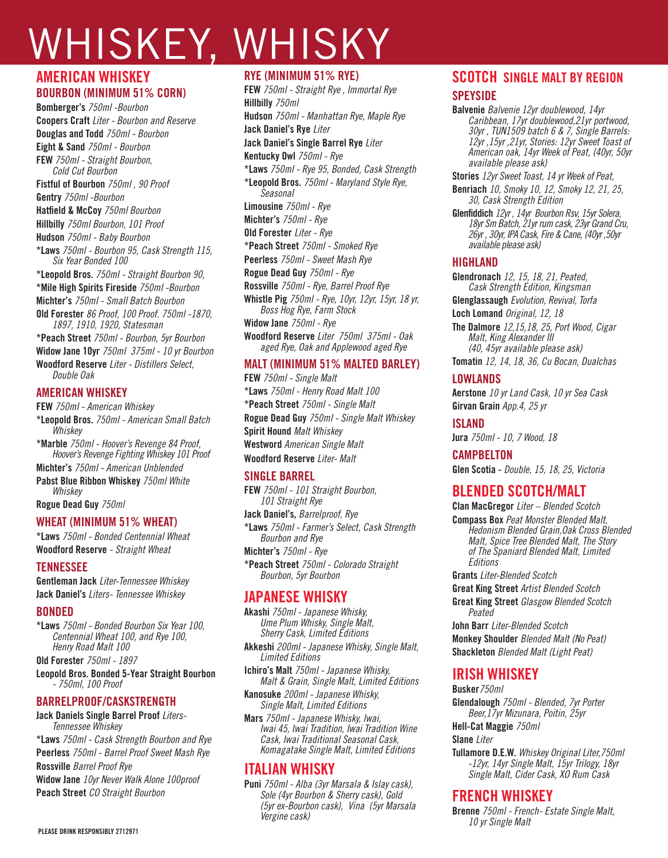# WHISKEY, WHISKY

# AMERICAN WHISKEY BOURBON (MINIMUM 51% CORN)

Bomberger's *750ml -Bourbon* Coopers Craft *Liter - Bourbon and Reserve* Douglas and Todd *750ml - Bourbon* Eight & Sand *750ml - Bourbon* FEW *750ml - Straight Bourbon, Cold Cut Bourbon* Fistful of Bourbon *750ml , 90 Proof* Gentry *750ml -Bourbon* Hatfield & McCoy *750ml Bourbon* Hillbilly *750ml Bourbon, 101 Proof* Hudson *750ml - Baby Bourbon* \*Laws *750ml - Bourbon 95, Cask Strength 115, Six Year Bonded 100* \*Leopold Bros. *750ml - Straight Bourbon 90,*  \*Mile High Spirits Fireside *750ml -Bourbon*  Michter's *750ml - Small Batch Bourbon* Old Forester *86 Proof, 100 Proof. 750ml -1870, 1897, 1910, 1920, Statesman* \*Peach Street *750ml - Bourbon, 5yr Bourbon* Widow Jane 10yr *750ml 375ml - 10 yr Bourbon* Woodford Reserve *Liter - Distillers Select, Double Oak* AMERICAN WHISKEY FEW *750ml - American Whiskey*

\*Leopold Bros. *750ml - American Small Batch Whiskey* \*Marble *750ml - Hoover's Revenge 84 Proof, Hoover's Revenge Fighting Whiskey 101 Proof* Michter's *750ml - American Unblended* Pabst Blue Ribbon Whiskey *750ml White Whiskey* Rogue Dead Guy *750ml*

### WHEAT (MINIMUM 51% WHEAT)

\*Laws *750ml - Bonded Centennial Wheat* Woodford Reserve *- Straight Wheat*

### **TENNESSEE**

Gentleman Jack *Liter-Tennessee Whiskey* Jack Daniel's *Liters- Tennessee Whiskey* 

### BONDED

\*Laws *750ml - Bonded Bourbon Six Year 100, Centennial Wheat 100, and Rye 100, Henry Road Malt 100*

Old Forester *750ml - 1897*

Leopold Bros. Bonded 5-Year Straight Bourbon *- 750ml, 100 Proof*

### BARRELPROOF/CASKSTRENGTH

Jack Daniels Single Barrel Proof *Liters-Tennessee Whiskey* \*Laws *750ml - Cask Strength Bourbon and Rye*

Peerless *750ml - Barrel Proof Sweet Mash Rye* Rossville *Barrel Proof Rye*

Widow Jane *10yr Never Walk Alone 100proof*  Peach Street *CO Straight Bourbon*

### RYE (MINIMUM 51% RYE)

FEW *750ml - Straight Rye , Immortal Rye* Hillbilly *750ml* Hudson *750ml - Manhattan Rye, Maple Rye* Jack Daniel's Rye *Liter* Jack Daniel's Single Barrel Rye *Liter* Kentucky Owl *750ml - Rye* \*Laws *750ml - Rye 95, Bonded, Cask Strength* \*Leopold Bros. *750ml - Maryland Style Rye, Seasonal* Limousine *750ml - Rye* Michter's *750ml - Rye* Old Forester *Liter - Rye* \*Peach Street *750ml - Smoked Rye*  Peerless *750ml - Sweet Mash Rye* Rogue Dead Guy *750ml - Rye* Rossville *750ml - Rye, Barrel Proof Rye* Whistle Pig *750ml - Rye, 10yr, 12yr, 15yr, 18 yr, Boss Hog Rye, Farm Stock* Widow Jane *750ml - Rye* Woodford Reserve *Liter 750ml 375ml - Oak aged Rye, Oak and Applewood aged Rye* 

### MALT (MINIMUM 51% MALTED BARLEY)

FEW *750ml - Single Malt* \*Laws *750ml - Henry Road Malt 100* \*Peach Street *750ml - Single Malt* Rogue Dead Guy *750ml - Single Malt Whiskey* Spirit Hound *Malt Whiskey* Westword *American Single Malt* Woodford Reserve *Liter- Malt*

### SINGLE BARREL

FEW *750ml - 101 Straight Bourbon, 101 Straight Rye*

Jack Daniel's, *Barrelproof, Rye* \*Laws *750ml - Farmer's Select, Cask Strength Bourbon and Rye*

Michter's *750ml - Rye* \*Peach Street *750ml - Colorado Straight Bourbon, 5yr Bourbon*

# JAPANESE WHISKY

Akashi *750ml - Japanese Whisky, Ume Plum Whisky, Single Malt, Sherry Cask, Limited Editions*

Akkeshi *200ml - Japanese Whisky, Single Malt, Limited Editions* 

Ichiro's Malt *750ml - Japanese Whisky, Malt & Grain, Single Malt, Limited Editions*

Kanosuke *200ml - Japanese Whisky, Single Malt, Limited Editions* 

Mars *750ml - Japanese Whisky, Iwai, Iwai 45, Iwai Tradition, Iwai Tradition Wine Cask, Iwai Traditional Seasonal Cask, Komagatake Single Malt, Limited Editions*

# ITALIAN WHISKY

Puni *750ml - Alba (3yr Marsala & Islay cask), Sole (4yr Bourbon & Sherry cask), Gold (5yr ex-Bourbon cask), Vina (5yr Marsala Vergine cask)*

# SCOTCH SINGLE MALT BY REGION **SPEYSIDE**

Balvenie *Balvenie 12yr doublewood, 14yr Caribbean, 17yr doublewood,21yr portwood, 30yr , TUN1509 batch 6 & 7, Single Barrels: 12yr ,15yr ,21yr, Stories: 12yr Sweet Toast of American oak, 14yr Week of Peat, (40yr, 50yr available please ask)*

Stories *12yr Sweet Toast, 14 yr Week of Peat,* 

Benriach *10, Smoky 10, 12, Smoky 12, 21, 25, 30, Cask Strength Edition*

Glenfiddich *12yr , 14yr Bourbon Rsv, 15yr Solera, 18yr Sm Batch, 21yr rum cask, 23yr Grand Cru, 26yr , 30yr, IPA Cask, Fire & Cane, (40yr ,50yr available please ask)*

### HIGHLAND

Glendronach *12, 15, 18, 21, Peated, Cask Strength Edition, Kingsman*

Glenglassaugh *Evolution, Revival, Torfa*

Loch Lomand *Original, 12, 18*

The Dalmore *12,15,18, 25, Port Wood, Cigar Malt, King Alexander III (40, 45yr available please ask)*

Tomatin *12, 14, 18, 36, Cu Bocan, Dualchas*

### LOWLANDS

Aerstone *10 yr Land Cask, 10 yr Sea Cask* Girvan Grain *App.4, 25 yr*

ISLAND

Jura *750ml - 10, 7 Wood, 18*

**CAMPBELTON** 

Glen Scotia - *Double, 15, 18, 25, Victoria* 

# BLENDED SCOTCH/MALT

Clan MacGregor *Liter – Blended Scotch*

Compass Box *Peat Monster Blended Malt, Hedonism Blended Grain,Oak Cross Blended Malt, Spice Tree Blended Malt, The Story of The Spaniard Blended Malt, Limited Editions* 

Grants *Liter-Blended Scotch*

Great King Street *Artist Blended Scotch* Great King Street *Glasgow Blended Scotch Peated*

John Barr *Liter-Blended Scotch*

Monkey Shoulder *Blended Malt (No Peat)* Shackleton *Blended Malt (Light Peat)*

# IRISH WHISKEY

Busker*750ml* Glendalough *750ml - Blended, 7yr Porter Beer,17yr Mizunara, Poitin, 25yr* Hell-Cat Maggie *750ml*

### Slane *Liter*

Tullamore D.E.W. *Whiskey Original Liter,750ml -12yr, 14yr Single Malt, 15yr Trilogy, 18yr Single Malt, Cider Cask, XO Rum Cask*

# FRENCH WHISKEY

Brenne *750ml - French- Estate Single Malt, 10 yr Single Malt*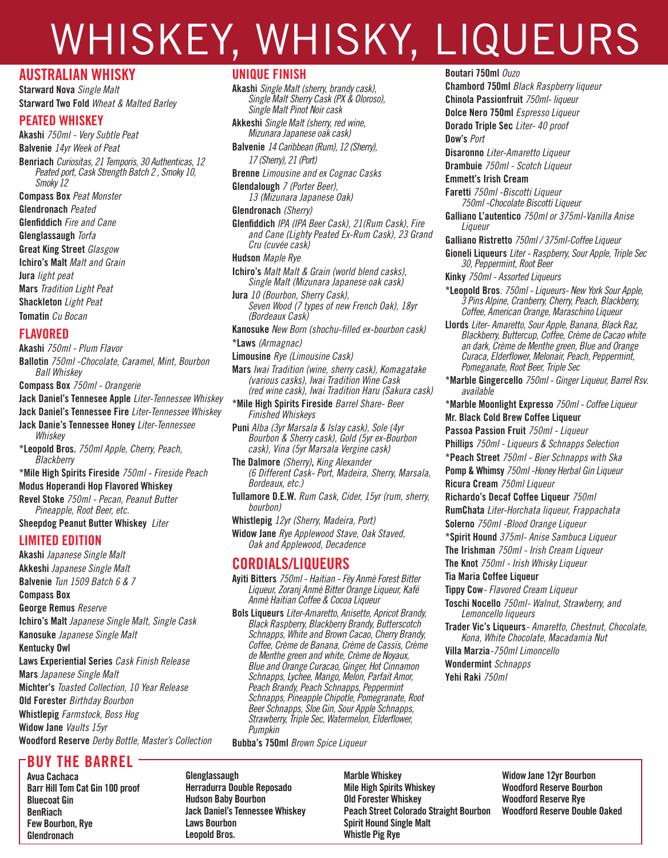# WHISKEY, WHISKY, LIQUEURS

# AUSTRALIAN WHISKY

Starward Nova *Single Malt* Starward Two Fold *Wheat & Malted Barley*

### PEATED WHISKEY

Akashi *750ml - Very Subtle Peat* Balvenie *14yr Week of Peat* Benriach *Curiositas, 21 Temporis, 30 Authenticas, 12 Peated port, Cask Strength Batch 2 , Smoky 10, Smoky 12*  Compass Box *Peat Monster* Glendronach *Peated* Glenfiddich *Fire and Cane* Glenglassaugh *Torfa* Great King Street *Glasgow* Ichiro's Malt *Malt and Grain* Jura *light peat* Mars *Tradition Light Peat* Shackleton *Light Peat*

Tomatin *Cu Bocan*

### FLAVORED

Akashi *750ml - Plum Flavor* Ballotin *750ml -Chocolate, Caramel, Mint, Bourbon Ball Whiskey* Compass Box *750ml - Orangerie*

- Jack Daniel's Tennesee Apple *Liter-Tennessee Whiskey*
- Jack Daniel's Tennessee Fire *Liter-Tennessee Whiskey*
- Jack Danie's Tennessee Honey *Liter-Tennessee Whiskey*

\*Leopold Bros. *750ml Apple, Cherry, Peach, Blackberry*

\*Mile High Spirits Fireside *750ml - Fireside Peach*

Modus Hoperandi Hop Flavored Whiskey

Revel Stoke *750ml - Pecan, Peanut Butter Pineapple, Root Beer, etc.*

Sheepdog Peanut Butter Whiskey *Liter*

# LIMITED EDITION

Akashi *Japanese Single Malt*  Akkeshi *Japanese Single Malt* Balvenie *Tun 1509 Batch 6 & 7* Compass Box George Remus *Reserve* Ichiro's Malt *Japanese Single Malt, Single Cask*  Kanosuke *Japanese Single Malt*  Kentucky Owl Laws Experiential Series *Cask Finish Release* Mars *Japanese Single Malt* Michter's *Toasted Collection, 10 Year Release* Old Forester *Birthday Bourbon* Whistlepig *Farmstock, Boss Hog* Widow Jane *Vaults 15yr* 

Woodford Reserve *Derby Bottle, Master's Collection*

# BUY THE BARREL

Avua Cachaca Barr Hill Tom Cat Gin 100 proof Bluecoat Gin **BenRiach** Few Bourbon, Rye **Glendronach** 

### UNIQUE FINISH

Akashi *Single Malt (sherry, brandy cask), Single Malt Sherry Cask (PX & Oloroso), Single Malt Pinot Noir cask*

Akkeshi *Single Malt (sherry, red wine, Mizunara Japanese oak cask)* 

Balvenie *14 Caribbean (Rum), 12 (Sherry), 17 (Sherry), 21 (Port)*

Brenne *Limousine and ex Cognac Casks*

Glendalough *7 (Porter Beer), 13 (Mizunara Japanese Oak)*

### Glendronach *(Sherry)*

Glenfiddich *IPA (IPA Beer Cask), 21(Rum Cask), Fire and Cane (Lighty Peated Ex-Rum Cask), 23 Grand Cru (cuvée cask)*

Hudson *Maple Rye*

Ichiro's *Malt Malt & Grain (world blend casks), Single Malt (Mizunara Japanese oak cask)*

Jura *10 (Bourbon, Sherry Cask), Seven Wood (7 types of new French Oak), 18yr (Bordeaux Cask)*

Kanosuke *New Born (shochu-filled ex-bourbon cask)* \*Laws *(Armagnac)*

Limousine *Rye (Limousine Cask)*

Mars *Iwai Tradition (wine, sherry cask), Komagatake (various casks), Iwai Tradition Wine Cask (red wine cask), Iwai Tradition Haru (Sakura cask)*

\*Mile High Spirits Fireside *Barrel Share- Beer Finished Whiskeys*

Puni *Alba (3yr Marsala & Islay cask), Sole (4yr Bourbon & Sherry cask), Gold (5yr ex-Bourbon cask), Vina (5yr Marsala Vergine cask)* 

The Dalmore *(Sherry)*, *King Alexander (6 Different Cask- Port, Madeira, Sherry, Marsala, Bordeaux, etc.)*

Tullamore D.E.W. *Rum Cask, Cider, 15yr (rum, sherry, bourbon)*

Whistlepig *12yr (Sherry, Madeira, Port)*

Widow Jane *Rye Applewood Stave, Oak Staved, Oak and Applewood, Decadence*

# CORDIALS/LIQUEURS

Ayiti Bitters *750ml - Haitian - Fèy Anmè Forest Bitter Liqueur, Zoranj Anmè Bitter Orange Liqueur, Kafé Anmè Haitian Coffee & Cocoa Liqueur*

Bols Liqueurs *Liter-Amaretto, Anisette, Apricot Brandy, Black Raspberry, Blackberry Brandy, Butterscotch Schnapps, White and Brown Cacao, Cherry Brandy, Coffee, Crème de Banana, Crème de Cassis, Crème de Menthe green and white, Crème de Noyaux, Blue and Orange Curacao, Ginger, Hot Cinnamon Schnapps, Lychee, Mango, Melon, Parfait Amor, Peach Brandy, Peach Schnapps, Peppermint Schnapps, Pineapple Chipotle, Pomegranate, Root Beer Schnapps, Sloe Gin, Sour Apple Schnapps, Strawberry, Triple Sec, Watermelon, Elderflower, Pumpkin*

Bubba's 750ml *Brown Spice Liqueur*

Glenglassaugh Herradurra Double Reposado Hudson Baby Bourbon Jack Daniel's Tennessee Whiskey Laws Bourbon Leopold Bros.

Marble Whiskey Mile High Spirits Whiskey Old Forester Whiskey Peach Street Colorado Straight Bourbon Spirit Hound Single Malt Whistle Pig Rye

Widow Jane 12yr Bourbon Woodford Reserve Bourbon Woodford Reserve Rye Woodford Reserve Double Oaked

### Boutari 750ml *Ouzo*

Chambord 750ml *Black Raspberry liqueur* Chinola Passionfruit *750ml- liqueur*  Dolce Nero 750ml *Espresso Liqueur* Dorado Triple Sec *Liter- 40 proof*  Dow's *Port*

Disaronno *Liter-Amaretto Liqueur* Drambuie *750ml - Scotch Liqueur*

Emmett's Irish Cream Faretti *750ml -Biscotti Liqueur 750ml -Chocolate Biscotti Liqueur*

Galliano L'autentico *750ml or 375ml-Vanilla Anise Liqueur*

Galliano Ristretto *750ml / 375ml-Coffee Liqueur*

Gioneli Liqueurs *Liter - Raspberry, Sour Apple, Triple Sec 30, Peppermint, Root Beer*

Kinky *750ml - Assorted Liqueurs*

\*Leopold Bros*. 750ml - Liqueurs- New York Sour Apple, 3 Pins Alpine, Cranberry, Cherry, Peach, Blackberry, Coffee, American Orange, Maraschino Liqueur*

Llords *Liter- Amaretto, Sour Apple, Banana, Black Raz, Blackberry, Buttercup, Coffee, Crème de Cacao white an dark, Crème de Menthe green, Blue and Orange Curaca, Elderflower, Melonair, Peach, Peppermint, Pomeganate, Root Beer, Triple Sec*

\*Marble Gingercello *750ml - Ginger Liqueur, Barrel Rsv. available*

\*Marble Moonlight Expresso *750ml - Coffee Liqueur* Mr. Black Cold Brew Coffee Liqueur

Passoa Passion Fruit *750ml - Liqueur*

Phillips *750ml - Liqueurs & Schnapps Selection*

\*Peach Street *750ml - Bier Schnapps with Ska*

Pomp & Whimsy *750ml -Honey Herbal Gin Liqueur* Ricura Cream *750ml Liqueur*

Richardo's Decaf Coffee Liqueur *750ml*

RumChata *Liter-Horchata liqueur, Frappachata*

Solerno *750ml -Blood Orange Liqueur*

\*Spirit Hound *375ml- Anise Sambuca Liqueur*

The Irishman *750ml - Irish Cream Liqueur*

The Knot *750ml - Irish Whisky Liqueur*

Tia Maria Coffee Liqueur

Tippy Cow*- Flavored Cream Liqueur*

Toschi Nocello *750ml- Walnut, Strawberry, and Lemoncello liqueurs* 

Trader Vic's Liqueurs*- Amaretto, Chestnut, Chocolate, Kona, White Chocolate, Macadamia Nut*

Villa Marzia*-750ml Limoncello*

Wondermint *Schnapps* Yehi Raki *750ml*